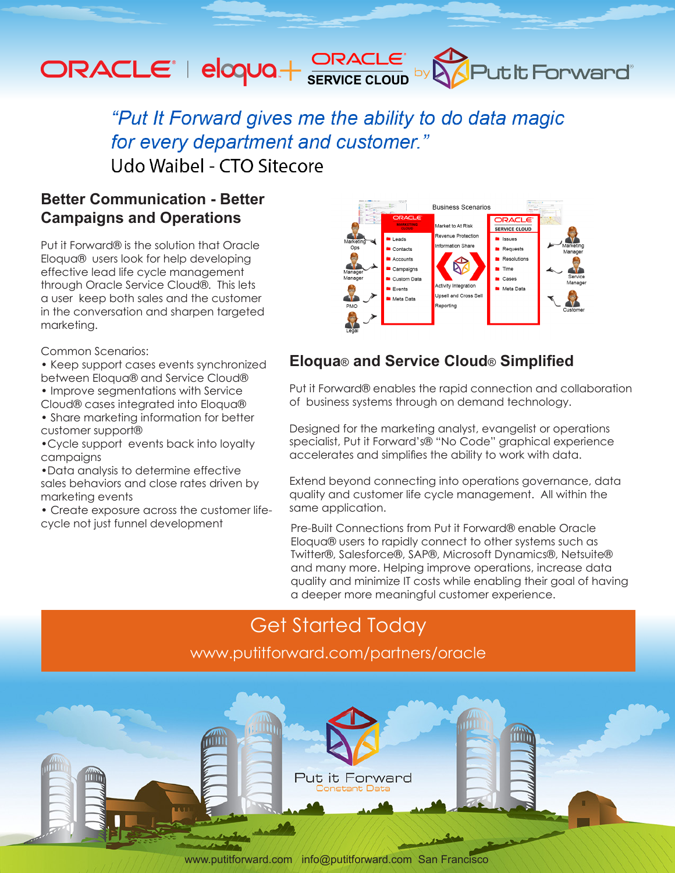# ORACLE<sup>®</sup> | eloqua + SERVICE CLOUD by **OPULARE FORWARD**

"Put It Forward gives me the ability to do data magic for every department and customer." Udo Waibel - CTO Sitecore

### **Better Communication - Better Campaigns and Operations**

Put it Forward® is the solution that Oracle Eloqua® users look for help developing effective lead life cycle management through Oracle Service Cloud®. This lets a user keep both sales and the customer in the conversation and sharpen targeted marketing.

Common Scenarios:

- Keep support cases events synchronized between Eloqua® and Service Cloud®
- Improve segmentations with Service
- Cloud® cases integrated into Eloqua® • Share marketing information for better
- customer support®
- •Cycle support events back into loyalty campaigns
- •Data analysis to determine effective sales behaviors and close rates driven by marketing events
- Create exposure across the customer lifecycle not just funnel development



### **Eloqua**® **and Service Cloud**® **Simplified**

Put it Forward® enables the rapid connection and collaboration of business systems through on demand technology.

Designed for the marketing analyst, evangelist or operations specialist, Put it Forward's® "No Code" graphical experience accelerates and simplifies the ability to work with data.

Extend beyond connecting into operations governance, data quality and customer life cycle management. All within the same application.

Pre-Built Connections from Put it Forward® enable Oracle Eloqua® users to rapidly connect to other systems such as Twitter®, Salesforce®, SAP®, Microsoft Dynamics®, Netsuite® and many more. Helping improve operations, increase data quality and minimize IT costs while enabling their goal of having a deeper more meaningful customer experience.

### Get Started Today

www.putitforward.com/partners/oracle



www.putitforward.com / info@putitforward.com San Francisco